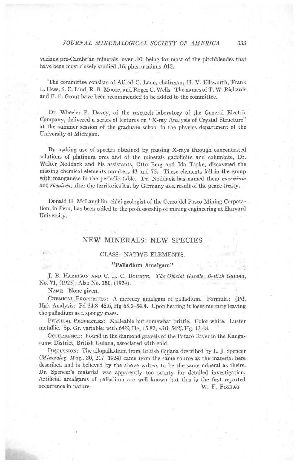various pre-Cambrian minerals, over .10; being for most of the pitchblendes that have been most closely studied .16, plus or minus .015.

The committee consists of Alfred C. Lane, chairman; H. V. Ellsworth, Frank L. Hess, S. C. Lind, R. B. Moore, and Roger C. Wells. The names of T. W. Richards and F. F. Grout have been recommended to be added to the committee.

Dr. Wheeler P. Davey, of the research laboratory of the General Electric Company, delivered a series of lectures on "X-ray Analysis of Crystal Structure" at the summer session of the graduate school in the physics department of the University of Michigan.

By making use of spectra obtained by passing X-rays through concentrated solutions of platinum ores and of the minerals gadolinite and columbite, Dr. Walter ,Noddack and his assistants, Otto Berg and Ida Tacke, discovered the missing chemical elements numbers 43 and 75. These elements fall in the group with manganese in the periodic table. Dr. Noddack has named them masurium and *rhenium*, after the territories lost by Germany as a result of the peace treaty.

Donald H. Mclaughlin, chief geologist of the Cerro del Pasco Mining Corporation, in Peru, has been called to the professorship of mining engineering at Harvard University.

# NEW MINERALS: NEW SPECIES

## **CLASS: NATIVE ELEMENTS.**

#### ... "Palladium Amalgam"

J. B. HARRISON AND C. L. C. BOURNE. The Official Gazette, British Guiana, No. 71, (1925); Also No. 181, (1924).

NAME None given.

CHEMICAL PROPERTIES: A mercury amalgam of palladium. Formula: (Pd, Hg). Analysis: Pd 34.8-45.6, Hg 65.2 54.4. Upon heating it loses mercury leaving the palladium as a spongy mass.

PHYSICAL PROPERTIES: Malleable but somewhat brittle. Color white. Luster metallic. Sp. Gr. variable; with  $64\%$  Hg, 15.82; with 54 $\%$  Hg, 13.48.

OCCURRENCE: Found in the diamond gravels of the Potaro River in the Kangaruma District, British Guiana, associated with gold.

Drscussrox: The allopalladium from British Guiana described by L. J. Spencer (Mineralog. Mag., 20, 217, 1924) came from the same source as the material here described and is believed by the above writers to be the same mineral as theirs. Dr. Spencer's material was apparently too scanty for detailed investigation. Artificial amalgams of palladium are well known but this is the first reported occurrence in nature. W. F. FosnAG